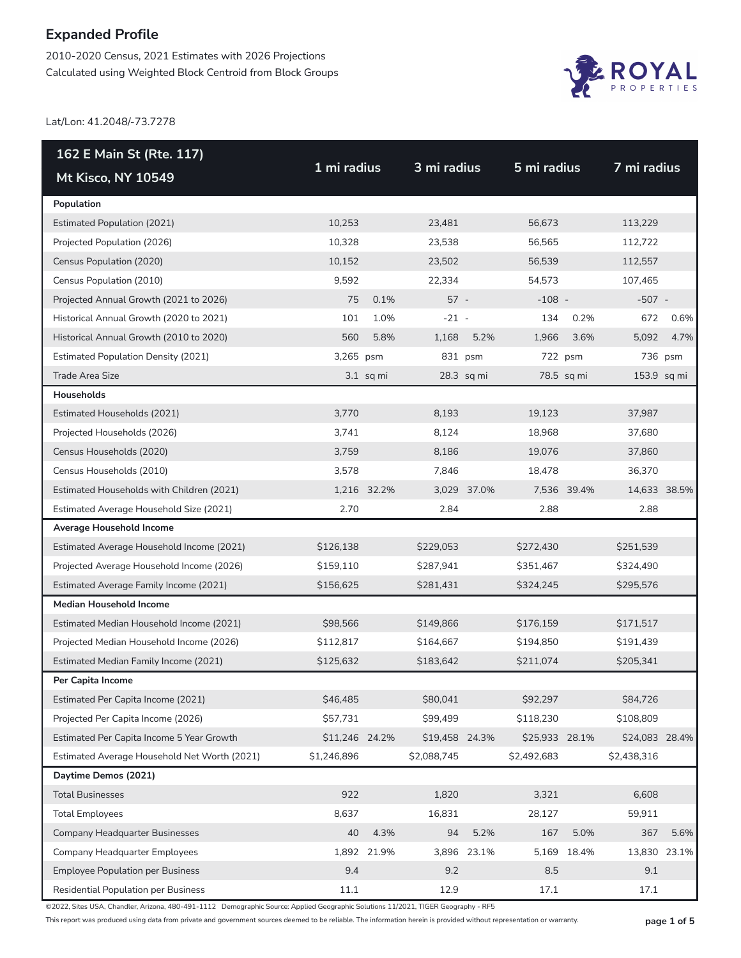2010-2020 Census, 2021 Estimates with 2026 Projections Calculated using Weighted Block Centroid from Block Groups



Lat/Lon: 41.2048/-73.7278

| 162 E Main St (Rte. 117)                     |                |             | 3 mi radius    |              | 5 mi radius    |             | 7 mi radius    |              |
|----------------------------------------------|----------------|-------------|----------------|--------------|----------------|-------------|----------------|--------------|
| Mt Kisco, NY 10549                           | 1 mi radius    |             |                |              |                |             |                |              |
| Population                                   |                |             |                |              |                |             |                |              |
| <b>Estimated Population (2021)</b>           | 10,253         |             | 23,481         |              | 56,673         |             | 113,229        |              |
| Projected Population (2026)                  | 10,328         |             | 23,538         |              | 56,565         |             | 112,722        |              |
| Census Population (2020)                     | 10,152         |             | 23,502         |              | 56,539         |             | 112,557        |              |
| Census Population (2010)                     | 9,592          |             | 22,334         |              | 54,573         |             | 107,465        |              |
| Projected Annual Growth (2021 to 2026)       | 75             | 0.1%        | $57 -$         |              | $-108 -$       |             | $-507 -$       |              |
| Historical Annual Growth (2020 to 2021)      | 101            | 1.0%        | $-21 -$        |              | 134            | 0.2%        | 672            | 0.6%         |
| Historical Annual Growth (2010 to 2020)      | 560            | 5.8%        | 1,168          | 5.2%         | 1,966          | 3.6%        | 5,092          | 4.7%         |
| <b>Estimated Population Density (2021)</b>   | 3,265 psm      |             |                | 831 psm      | 722 psm        |             |                | 736 psm      |
| <b>Trade Area Size</b>                       |                | $3.1$ sq mi |                | $28.3$ sq mi |                | 78.5 sq mi  | 153.9 sq mi    |              |
| Households                                   |                |             |                |              |                |             |                |              |
| Estimated Households (2021)                  | 3,770          |             | 8,193          |              | 19,123         |             | 37,987         |              |
| Projected Households (2026)                  | 3,741          |             | 8,124          |              | 18,968         |             | 37,680         |              |
| Census Households (2020)                     | 3,759          |             | 8,186          |              | 19,076         |             | 37,860         |              |
| Census Households (2010)                     | 3,578          |             | 7,846          |              | 18,478         |             | 36,370         |              |
| Estimated Households with Children (2021)    |                | 1,216 32.2% |                | 3,029 37.0%  |                | 7,536 39.4% | 14,633 38.5%   |              |
| Estimated Average Household Size (2021)      | 2.70           |             | 2.84           |              | 2.88           |             | 2.88           |              |
| Average Household Income                     |                |             |                |              |                |             |                |              |
| Estimated Average Household Income (2021)    | \$126,138      |             | \$229,053      |              | \$272,430      |             | \$251,539      |              |
| Projected Average Household Income (2026)    | \$159,110      |             | \$287,941      |              | \$351,467      |             | \$324,490      |              |
| Estimated Average Family Income (2021)       | \$156,625      |             | \$281,431      |              | \$324,245      |             | \$295,576      |              |
| <b>Median Household Income</b>               |                |             |                |              |                |             |                |              |
| Estimated Median Household Income (2021)     | \$98,566       |             | \$149,866      |              | \$176,159      |             | \$171,517      |              |
| Projected Median Household Income (2026)     | \$112,817      |             | \$164,667      |              | \$194,850      |             | \$191,439      |              |
| Estimated Median Family Income (2021)        | \$125,632      |             | \$183,642      |              | \$211,074      |             | \$205,341      |              |
| Per Capita Income                            |                |             |                |              |                |             |                |              |
| Estimated Per Capita Income (2021)           | \$46,485       |             | \$80,041       |              | \$92,297       |             | \$84,726       |              |
| Projected Per Capita Income (2026)           | \$57,731       |             | \$99,499       |              | \$118,230      |             | \$108,809      |              |
| Estimated Per Capita Income 5 Year Growth    | \$11,246 24.2% |             | \$19,458 24.3% |              | \$25,933 28.1% |             | \$24,083 28.4% |              |
| Estimated Average Household Net Worth (2021) | \$1,246,896    |             | \$2,088,745    |              | \$2,492,683    |             | \$2,438,316    |              |
| Daytime Demos (2021)                         |                |             |                |              |                |             |                |              |
| <b>Total Businesses</b>                      | 922            |             | 1,820          |              | 3,321          |             | 6,608          |              |
| <b>Total Employees</b>                       | 8,637          |             | 16,831         |              | 28,127         |             | 59,911         |              |
| <b>Company Headquarter Businesses</b>        | 40             | 4.3%        | 94             | 5.2%         | 167            | 5.0%        | 367            | 5.6%         |
| <b>Company Headquarter Employees</b>         | 1,892          | 21.9%       |                | 3,896 23.1%  | 5,169          | 18.4%       |                | 13,830 23.1% |
| <b>Employee Population per Business</b>      | 9.4            |             | 9.2            |              | 8.5            |             | $9.1\,$        |              |
| Residential Population per Business          | 11.1           |             | 12.9           |              | 17.1           |             | 17.1           |              |

©2022, Sites USA, Chandler, Arizona, 480-491-1112 Demographic Source: Applied Geographic Solutions 11/2021, TIGER Geography - RF5

This report was produced using data from private and government sources deemed to be reliable. The information herein is provided without representation or warranty. **page 1 of 5**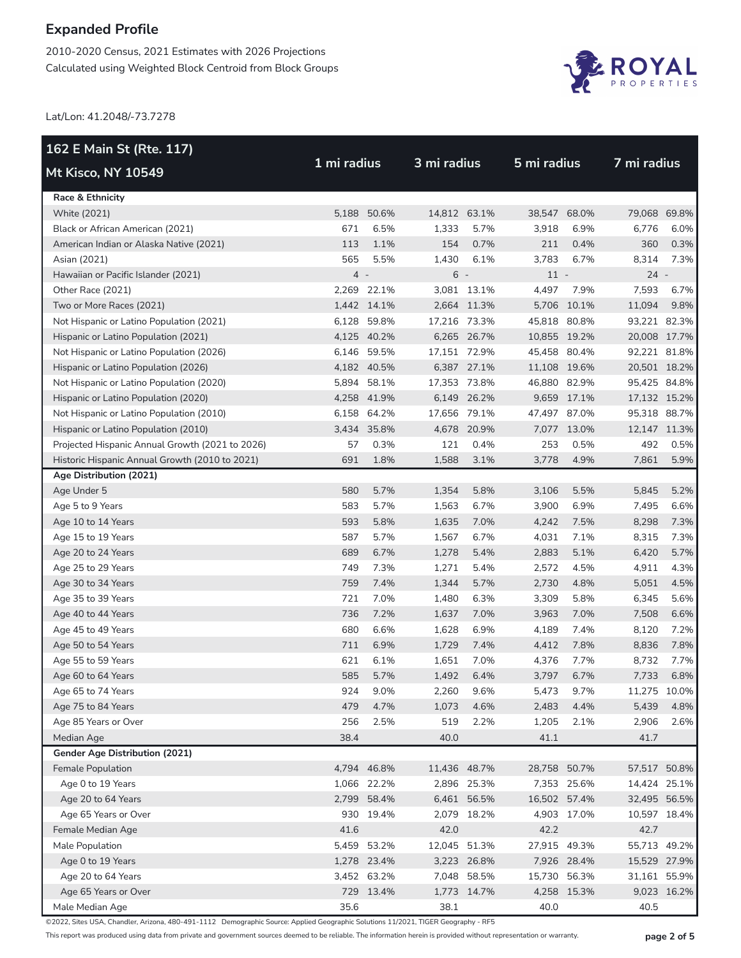2010-2020 Census, 2021 Estimates with 2026 Projections Calculated using Weighted Block Centroid from Block Groups



Lat/Lon: 41.2048/-73.7278

| 162 E Main St (Rte. 117)                        |             |             |              |             |              |             |        | 7 mi radius  |  |  |
|-------------------------------------------------|-------------|-------------|--------------|-------------|--------------|-------------|--------|--------------|--|--|
| Mt Kisco, NY 10549                              | 1 mi radius |             |              | 3 mi radius |              | 5 mi radius |        |              |  |  |
| Race & Ethnicity                                |             |             |              |             |              |             |        |              |  |  |
| <b>White (2021)</b>                             |             | 5,188 50.6% | 14,812 63.1% |             | 38,547       | 68.0%       |        | 79,068 69.8% |  |  |
| Black or African American (2021)                | 671         | 6.5%        | 1,333        | 5.7%        | 3,918        | 6.9%        | 6,776  | 6.0%         |  |  |
| American Indian or Alaska Native (2021)         | 113         | 1.1%        | 154          | 0.7%        | 211          | 0.4%        | 360    | 0.3%         |  |  |
| Asian (2021)                                    | 565         | 5.5%        | 1,430        | 6.1%        | 3,783        | 6.7%        | 8,314  | 7.3%         |  |  |
| Hawaiian or Pacific Islander (2021)             | $4 -$       |             | $6 -$        |             | $11 -$       |             | $24 -$ |              |  |  |
| Other Race (2021)                               |             | 2,269 22.1% |              | 3,081 13.1% | 4,497        | 7.9%        | 7,593  | 6.7%         |  |  |
| Two or More Races (2021)                        |             | 1,442 14.1% |              | 2,664 11.3% |              | 5,706 10.1% | 11,094 | 9.8%         |  |  |
| Not Hispanic or Latino Population (2021)        |             | 6,128 59.8% | 17,216 73.3% |             | 45,818 80.8% |             |        | 93,221 82.3% |  |  |
| Hispanic or Latino Population (2021)            |             | 4,125 40.2% |              | 6,265 26.7% | 10,855 19.2% |             |        | 20,008 17.7% |  |  |
| Not Hispanic or Latino Population (2026)        |             | 6,146 59.5% | 17,151 72.9% |             | 45,458 80.4% |             |        | 92,221 81.8% |  |  |
| Hispanic or Latino Population (2026)            |             | 4,182 40.5% |              | 6,387 27.1% | 11,108 19.6% |             |        | 20,501 18.2% |  |  |
| Not Hispanic or Latino Population (2020)        |             | 5,894 58.1% | 17,353 73.8% |             | 46,880 82.9% |             |        | 95,425 84.8% |  |  |
| Hispanic or Latino Population (2020)            |             | 4,258 41.9% |              | 6,149 26.2% |              | 9,659 17.1% |        | 17,132 15.2% |  |  |
| Not Hispanic or Latino Population (2010)        |             | 6,158 64.2% | 17,656 79.1% |             | 47,497 87.0% |             |        | 95,318 88.7% |  |  |
| Hispanic or Latino Population (2010)            |             | 3,434 35.8% |              | 4,678 20.9% |              | 7,077 13.0% |        | 12,147 11.3% |  |  |
| Projected Hispanic Annual Growth (2021 to 2026) | 57          | 0.3%        | 121          | 0.4%        | 253          | 0.5%        | 492    | 0.5%         |  |  |
| Historic Hispanic Annual Growth (2010 to 2021)  | 691         | 1.8%        | 1,588        | 3.1%        | 3,778        | 4.9%        | 7,861  | 5.9%         |  |  |
| Age Distribution (2021)                         |             |             |              |             |              |             |        |              |  |  |
| Age Under 5                                     | 580         | 5.7%        | 1,354        | 5.8%        | 3,106        | 5.5%        | 5,845  | 5.2%         |  |  |
| Age 5 to 9 Years                                | 583         | 5.7%        | 1,563        | 6.7%        | 3,900        | 6.9%        | 7,495  | 6.6%         |  |  |
| Age 10 to 14 Years                              | 593         | 5.8%        | 1,635        | 7.0%        | 4,242        | 7.5%        | 8,298  | 7.3%         |  |  |
| Age 15 to 19 Years                              | 587         | 5.7%        | 1,567        | 6.7%        | 4,031        | 7.1%        | 8,315  | 7.3%         |  |  |
| Age 20 to 24 Years                              | 689         | 6.7%        | 1,278        | 5.4%        | 2,883        | 5.1%        | 6,420  | 5.7%         |  |  |
| Age 25 to 29 Years                              | 749         | 7.3%        | 1,271        | 5.4%        | 2,572        | 4.5%        | 4,911  | 4.3%         |  |  |
| Age 30 to 34 Years                              | 759         | 7.4%        | 1,344        | 5.7%        | 2,730        | 4.8%        | 5,051  | 4.5%         |  |  |
| Age 35 to 39 Years                              | 721         | 7.0%        | 1,480        | 6.3%        | 3,309        | 5.8%        | 6,345  | 5.6%         |  |  |
| Age 40 to 44 Years                              | 736         | 7.2%        | 1,637        | 7.0%        | 3,963        | 7.0%        | 7,508  | 6.6%         |  |  |
| Age 45 to 49 Years                              | 680         | 6.6%        | 1,628        | 6.9%        | 4,189        | 7.4%        | 8,120  | 7.2%         |  |  |
| Age 50 to 54 Years                              | 711         | 6.9%        | 1,729        | 7.4%        | 4,412        | 7.8%        | 8,836  | 7.8%         |  |  |
| Age 55 to 59 Years                              | 621         | 6.1%        | 1,651        | 7.0%        | 4,376        | 7.7%        | 8,732  | 7.7%         |  |  |
| Age 60 to 64 Years                              | 585         | 5.7%        | 1,492        | 6.4%        | 3,797        | 6.7%        | 7,733  | 6.8%         |  |  |
| Age 65 to 74 Years                              | 924         | 9.0%        | 2,260        | 9.6%        | 5,473        | 9.7%        |        | 11,275 10.0% |  |  |
| Age 75 to 84 Years                              | 479         | 4.7%        | 1,073        | 4.6%        | 2,483        | 4.4%        | 5,439  | 4.8%         |  |  |
| Age 85 Years or Over                            | 256         | 2.5%        | 519          | 2.2%        | 1,205        | 2.1%        | 2,906  | 2.6%         |  |  |
| Median Age                                      | 38.4        |             | 40.0         |             | 41.1         |             | 41.7   |              |  |  |
| <b>Gender Age Distribution (2021)</b>           |             |             |              |             |              |             |        |              |  |  |
| Female Population                               |             | 4,794 46.8% | 11,436 48.7% |             | 28,758 50.7% |             |        | 57,517 50.8% |  |  |
| Age 0 to 19 Years                               |             | 1,066 22.2% |              | 2,896 25.3% |              | 7,353 25.6% |        | 14,424 25.1% |  |  |
| Age 20 to 64 Years                              |             | 2,799 58.4% |              | 6,461 56.5% | 16,502 57.4% |             |        | 32,495 56.5% |  |  |
| Age 65 Years or Over                            |             | 930 19.4%   |              | 2,079 18.2% |              | 4,903 17.0% |        | 10,597 18.4% |  |  |
| Female Median Age                               | 41.6        |             | 42.0         |             | 42.2         |             | 42.7   |              |  |  |
| Male Population                                 |             | 5,459 53.2% | 12,045 51.3% |             | 27,915 49.3% |             |        | 55,713 49.2% |  |  |
| Age 0 to 19 Years                               |             | 1,278 23.4% |              | 3,223 26.8% |              | 7,926 28.4% |        | 15,529 27.9% |  |  |
| Age 20 to 64 Years                              |             | 3,452 63.2% |              | 7,048 58.5% | 15,730 56.3% |             |        | 31,161 55.9% |  |  |
| Age 65 Years or Over                            |             | 729 13.4%   |              | 1,773 14.7% |              | 4,258 15.3% |        | 9,023 16.2%  |  |  |
| Male Median Age                                 | 35.6        |             | 38.1         |             | 40.0         |             | 40.5   |              |  |  |

©2022, Sites USA, Chandler, Arizona, 480-491-1112 Demographic Source: Applied Geographic Solutions 11/2021, TIGER Geography - RF5

This report was produced using data from private and government sources deemed to be reliable. The information herein is provided without representation or warranty. **page 2 of 5**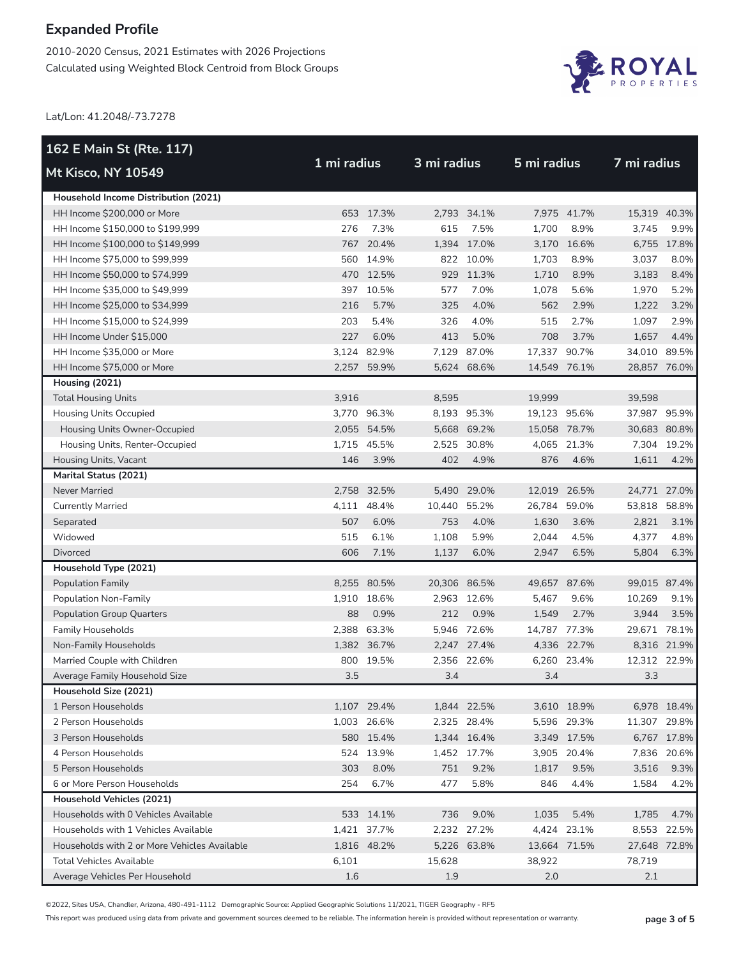2010-2020 Census, 2021 Estimates with 2026 Projections Calculated using Weighted Block Centroid from Block Groups



Lat/Lon: 41.2048/-73.7278

| 162 E Main St (Rte. 117)                     |             |             |              |             |              |             |              | 7 mi radius |  |
|----------------------------------------------|-------------|-------------|--------------|-------------|--------------|-------------|--------------|-------------|--|
| Mt Kisco, NY 10549                           | 1 mi radius |             |              | 3 mi radius |              | 5 mi radius |              |             |  |
| Household Income Distribution (2021)         |             |             |              |             |              |             |              |             |  |
| HH Income \$200,000 or More                  |             | 653 17.3%   |              | 2.793 34.1% |              | 7,975 41.7% | 15,319 40.3% |             |  |
| HH Income \$150,000 to \$199,999             | 276         | 7.3%        | 615          | 7.5%        | 1,700        | 8.9%        | 3,745        | 9.9%        |  |
| HH Income \$100,000 to \$149,999             |             | 767 20.4%   |              | 1,394 17.0% |              | 3,170 16.6% |              | 6,755 17.8% |  |
| HH Income \$75,000 to \$99,999               |             | 560 14.9%   |              | 822 10.0%   | 1,703        | 8.9%        | 3,037        | 8.0%        |  |
| HH Income \$50,000 to \$74,999               |             | 470 12.5%   |              | 929 11.3%   | 1,710        | 8.9%        | 3,183        | 8.4%        |  |
| HH Income \$35,000 to \$49,999               |             | 397 10.5%   | 577          | 7.0%        | 1,078        | 5.6%        | 1,970        | 5.2%        |  |
| HH Income \$25,000 to \$34,999               | 216         | 5.7%        | 325          | 4.0%        | 562          | 2.9%        | 1,222        | 3.2%        |  |
| HH Income \$15,000 to \$24,999               | 203         | 5.4%        | 326          | 4.0%        | 515          | 2.7%        | 1,097        | 2.9%        |  |
| HH Income Under \$15,000                     | 227         | 6.0%        | 413          | 5.0%        | 708          | 3.7%        | 1,657        | 4.4%        |  |
| HH Income \$35,000 or More                   |             | 3,124 82.9% | 7,129        | 87.0%       | 17,337 90.7% |             | 34,010 89.5% |             |  |
| HH Income \$75,000 or More                   |             | 2,257 59.9% |              | 5,624 68.6% | 14,549 76.1% |             | 28,857 76.0% |             |  |
| Housing (2021)                               |             |             |              |             |              |             |              |             |  |
| <b>Total Housing Units</b>                   | 3,916       |             | 8,595        |             | 19,999       |             | 39,598       |             |  |
| <b>Housing Units Occupied</b>                |             | 3.770 96.3% |              | 8,193 95.3% | 19,123 95.6% |             | 37,987 95.9% |             |  |
| Housing Units Owner-Occupied                 |             | 2,055 54.5% |              | 5,668 69.2% | 15,058 78.7% |             | 30,683 80.8% |             |  |
| Housing Units, Renter-Occupied               |             | 1,715 45.5% |              | 2,525 30.8% |              | 4,065 21.3% |              | 7.304 19.2% |  |
| Housing Units, Vacant                        | 146         | 3.9%        | 402          | 4.9%        | 876          | 4.6%        | 1,611        | 4.2%        |  |
| <b>Marital Status (2021)</b>                 |             |             |              |             |              |             |              |             |  |
| <b>Never Married</b>                         |             | 2,758 32.5% |              | 5,490 29.0% | 12,019 26.5% |             | 24,771 27.0% |             |  |
| <b>Currently Married</b>                     | 4,111       | 48.4%       | 10,440 55.2% |             | 26,784       | 59.0%       | 53,818       | 58.8%       |  |
| Separated                                    | 507         | 6.0%        | 753          | 4.0%        | 1,630        | 3.6%        | 2,821        | 3.1%        |  |
| Widowed                                      | 515         | 6.1%        | 1,108        | 5.9%        | 2,044        | 4.5%        | 4,377        | 4.8%        |  |
| <b>Divorced</b>                              | 606         | 7.1%        | 1,137        | 6.0%        | 2,947        | 6.5%        | 5,804        | 6.3%        |  |
| Household Type (2021)                        |             |             |              |             |              |             |              |             |  |
| <b>Population Family</b>                     |             | 8,255 80.5% | 20,306 86.5% |             | 49,657 87.6% |             | 99,015 87.4% |             |  |
| Population Non-Family                        |             | 1,910 18.6% |              | 2,963 12.6% | 5,467        | 9.6%        | 10,269       | 9.1%        |  |
| <b>Population Group Quarters</b>             | 88          | 0.9%        | 212          | 0.9%        | 1,549        | 2.7%        | 3,944        | 3.5%        |  |
| <b>Family Households</b>                     |             | 2,388 63.3% |              | 5.946 72.6% | 14,787 77.3% |             | 29,671 78.1% |             |  |
| Non-Family Households                        |             | 1,382 36.7% |              | 2,247 27.4% |              | 4,336 22.7% |              | 8,316 21.9% |  |
| Married Couple with Children                 |             | 800 19.5%   |              | 2,356 22.6% |              | 6,260 23.4% | 12,312 22.9% |             |  |
| Average Family Household Size                | 3.5         |             | 3.4          |             | 3.4          |             | 3.3          |             |  |
| Household Size (2021)                        |             |             |              |             |              |             |              |             |  |
| 1 Person Households                          |             | 1,107 29.4% |              | 1,844 22.5% |              | 3,610 18.9% |              | 6,978 18.4% |  |
| 2 Person Households                          |             | 1,003 26.6% |              | 2,325 28.4% |              | 5,596 29.3% | 11,307 29.8% |             |  |
| 3 Person Households                          |             | 580 15.4%   |              | 1,344 16.4% |              | 3,349 17.5% |              | 6,767 17.8% |  |
| 4 Person Households                          |             | 524 13.9%   |              | 1,452 17.7% |              | 3,905 20.4% |              | 7,836 20.6% |  |
| 5 Person Households                          | 303         | 8.0%        | 751          | 9.2%        | 1,817        | 9.5%        | 3,516        | 9.3%        |  |
| 6 or More Person Households                  | 254         | 6.7%        | 477          | 5.8%        | 846          | 4.4%        | 1,584        | 4.2%        |  |
| <b>Household Vehicles (2021)</b>             |             |             |              |             |              |             |              |             |  |
| Households with 0 Vehicles Available         |             | 533 14.1%   | 736          | 9.0%        | 1,035        | 5.4%        | 1,785        | 4.7%        |  |
| Households with 1 Vehicles Available         |             | 1,421 37.7% |              | 2,232 27.2% |              | 4,424 23.1% |              | 8,553 22.5% |  |
| Households with 2 or More Vehicles Available |             | 1,816 48.2% |              | 5,226 63.8% | 13,664 71.5% |             | 27,648 72.8% |             |  |
| <b>Total Vehicles Available</b>              | 6,101       |             | 15,628       |             | 38,922       |             | 78,719       |             |  |
| Average Vehicles Per Household               | 1.6         |             | 1.9          |             | 2.0          |             | 2.1          |             |  |

©2022, Sites USA, Chandler, Arizona, 480-491-1112 Demographic Source: Applied Geographic Solutions 11/2021, TIGER Geography - RF5

This report was produced using data from private and government sources deemed to be reliable. The information herein is provided without representation or warranty. **page 3 of 5**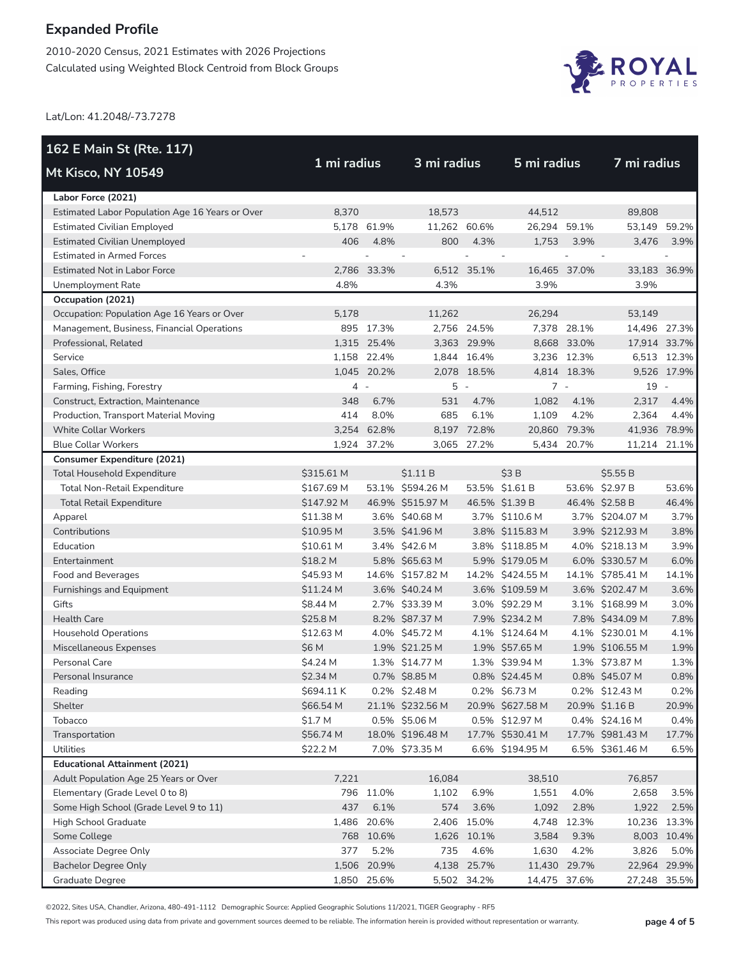2010-2020 Census, 2021 Estimates with 2026 Projections Calculated using Weighted Block Centroid from Block Groups



Lat/Lon: 41.2048/-73.7278

| 162 E Main St (Rte. 117)                        |             |             |                  |             |                  |             |                  |             |
|-------------------------------------------------|-------------|-------------|------------------|-------------|------------------|-------------|------------------|-------------|
| <b>Mt Kisco, NY 10549</b>                       | 1 mi radius |             | 3 mi radius      |             | 5 mi radius      |             | 7 mi radius      |             |
| Labor Force (2021)                              |             |             |                  |             |                  |             |                  |             |
| Estimated Labor Population Age 16 Years or Over | 8,370       |             | 18.573           |             | 44,512           |             | 89,808           |             |
| <b>Estimated Civilian Employed</b>              |             | 5,178 61.9% | 11,262 60.6%     |             | 26,294 59.1%     |             | 53,149 59.2%     |             |
| <b>Estimated Civilian Unemployed</b>            | 406         | 4.8%        | 800              | 4.3%        | 1,753            | 3.9%        | 3,476            | 3.9%        |
| <b>Estimated in Armed Forces</b>                |             |             |                  |             |                  |             |                  |             |
| Estimated Not in Labor Force                    |             | 2,786 33.3% |                  | 6,512 35.1% | 16,465 37.0%     |             | 33,183 36.9%     |             |
| Unemployment Rate                               | 4.8%        |             | 4.3%             |             | 3.9%             |             | 3.9%             |             |
| Occupation (2021)                               |             |             |                  |             |                  |             |                  |             |
| Occupation: Population Age 16 Years or Over     | 5,178       |             | 11.262           |             | 26.294           |             | 53,149           |             |
| Management, Business, Financial Operations      |             | 895 17.3%   |                  | 2,756 24.5% |                  | 7,378 28.1% | 14,496 27.3%     |             |
| Professional, Related                           |             | 1,315 25.4% |                  | 3,363 29.9% |                  | 8,668 33.0% | 17,914 33.7%     |             |
| Service                                         |             | 1,158 22.4% |                  | 1,844 16.4% |                  | 3,236 12.3% |                  | 6,513 12.3% |
| Sales, Office                                   |             | 1,045 20.2% |                  | 2,078 18.5% |                  | 4,814 18.3% |                  | 9,526 17.9% |
| Farming, Fishing, Forestry                      | 4 -         |             | $5 -$            |             | $7 -$            |             | 19 -             |             |
| Construct, Extraction, Maintenance              | 348         | 6.7%        | 531              | 4.7%        | 1,082            | 4.1%        | 2,317            | 4.4%        |
| Production, Transport Material Moving           | 414         | 8.0%        | 685              | 6.1%        | 1,109            | 4.2%        | 2,364            | 4.4%        |
| <b>White Collar Workers</b>                     |             | 3,254 62.8% |                  | 8,197 72.8% | 20,860 79.3%     |             | 41,936 78.9%     |             |
| <b>Blue Collar Workers</b>                      |             | 1,924 37.2% |                  | 3,065 27.2% |                  | 5,434 20.7% | 11,214 21.1%     |             |
| <b>Consumer Expenditure (2021)</b>              |             |             |                  |             |                  |             |                  |             |
| <b>Total Household Expenditure</b>              | \$315.61 M  |             | \$1.11B          |             | \$3B             |             | \$5.55B          |             |
| <b>Total Non-Retail Expenditure</b>             | \$167.69 M  |             | 53.1% \$594.26 M |             | 53.5% \$1.61 B   |             | 53.6% \$2.97 B   | 53.6%       |
| <b>Total Retail Expenditure</b>                 | \$147.92 M  |             | 46.9% \$515.97 M |             | 46.5% \$1.39 B   |             | 46.4% \$2.58 B   | 46.4%       |
| Apparel                                         | \$11.38 M   |             | 3.6% \$40.68 M   |             | 3.7% \$110.6 M   |             | 3.7% \$204.07 M  | 3.7%        |
| Contributions                                   | \$10.95 M   |             | 3.5% \$41.96 M   |             | 3.8% \$115.83 M  |             | 3.9% \$212.93 M  | 3.8%        |
| Education                                       | \$10.61 M   |             | 3.4% \$42.6 M    |             | 3.8% \$118.85 M  |             | 4.0% \$218.13 M  | 3.9%        |
| Entertainment                                   | \$18.2 M    |             | 5.8% \$65.63 M   |             | 5.9% \$179.05 M  |             | 6.0% \$330.57 M  | 6.0%        |
| Food and Beverages                              | \$45.93 M   |             | 14.6% \$157.82 M |             | 14.2% \$424.55 M |             | 14.1% \$785.41 M | 14.1%       |
| Furnishings and Equipment                       | \$11.24 M   |             | 3.6% \$40.24 M   |             | 3.6% \$109.59 M  |             | 3.6% \$202.47 M  | 3.6%        |
| Gifts                                           | \$8.44 M    |             | 2.7% \$33.39 M   |             | 3.0% \$92.29 M   |             | 3.1% \$168.99 M  | 3.0%        |
| <b>Health Care</b>                              | \$25.8 M    |             | 8.2% \$87.37 M   |             | 7.9% \$234.2 M   |             | 7.8% \$434.09 M  | 7.8%        |
| <b>Household Operations</b>                     | \$12.63 M   |             | 4.0% \$45.72 M   |             | 4.1% \$124.64 M  |             | 4.1% \$230.01 M  | 4.1%        |
| Miscellaneous Expenses                          | \$6 M       |             | 1.9% \$21.25 M   |             | 1.9% \$57.65 M   |             | 1.9% \$106.55 M  | 1.9%        |
| Personal Care                                   | \$4.24 M    |             | 1.3% \$14.77 M   |             | 1.3% \$39.94 M   |             | 1.3% \$73.87 M   | 1.3%        |
| Personal Insurance                              | \$2.34 M    |             | 0.7% \$8.85 M    |             | 0.8% \$24.45 M   |             | 0.8% \$45.07 M   | 0.8%        |
| Reading                                         | \$694.11K   |             | 0.2% \$2.48 M    |             | 0.2% \$6.73 M    |             | 0.2% \$12.43 M   | 0.2%        |
| Shelter                                         | \$66.54 M   |             | 21.1% \$232.56 M |             | 20.9% \$627.58 M |             | 20.9% \$1.16 B   | 20.9%       |
| Tobacco                                         | \$1.7 M     |             | 0.5% \$5.06 M    |             | 0.5% \$12.97 M   |             | 0.4% \$24.16 M   | 0.4%        |
| Transportation                                  | \$56.74 M   |             | 18.0% \$196.48 M |             | 17.7% \$530.41 M |             | 17.7% \$981.43 M | 17.7%       |
| Utilities                                       | \$22.2 M    |             | 7.0% \$73.35 M   |             | 6.6% \$194.95 M  |             | 6.5% \$361.46 M  | 6.5%        |
| <b>Educational Attainment (2021)</b>            |             |             |                  |             |                  |             |                  |             |
| Adult Population Age 25 Years or Over           | 7,221       |             | 16,084           |             | 38,510           |             | 76,857           |             |
| Elementary (Grade Level 0 to 8)                 |             | 796 11.0%   | 1,102            | 6.9%        | 1,551            | 4.0%        | 2,658            | 3.5%        |
| Some High School (Grade Level 9 to 11)          | 437         | 6.1%        | 574              | 3.6%        | 1,092            | 2.8%        | 1,922            | 2.5%        |
| High School Graduate                            | 1,486       | 20.6%       |                  | 2,406 15.0% | 4,748            | 12.3%       | 10,236 13.3%     |             |
| Some College                                    |             | 768 10.6%   |                  | 1,626 10.1% | 3,584            | 9.3%        |                  | 8,003 10.4% |
| Associate Degree Only                           | 377         | 5.2%        | 735              | 4.6%        | 1,630            | 4.2%        | 3,826            | 5.0%        |
| <b>Bachelor Degree Only</b>                     |             | 1,506 20.9% | 4,138            | 25.7%       | 11,430           | 29.7%       | 22,964 29.9%     |             |
| Graduate Degree                                 |             | 1,850 25.6% |                  | 5,502 34.2% | 14,475 37.6%     |             | 27,248 35.5%     |             |

©2022, Sites USA, Chandler, Arizona, 480-491-1112 Demographic Source: Applied Geographic Solutions 11/2021, TIGER Geography - RF5

This report was produced using data from private and government sources deemed to be reliable. The information herein is provided without representation or warranty. **page 4 of 5**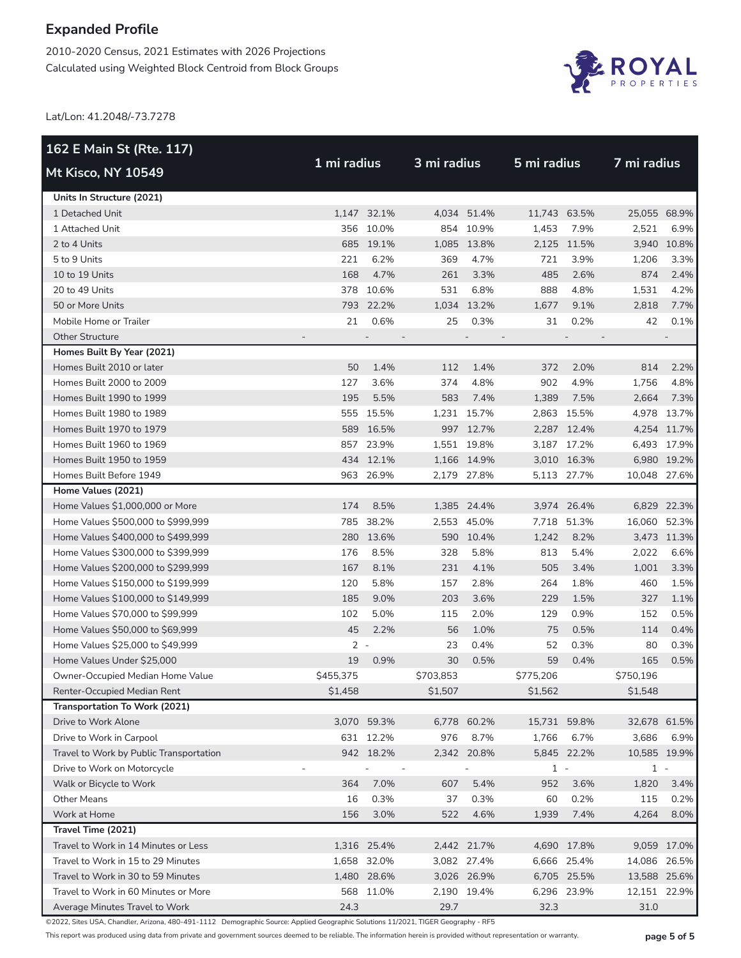2010-2020 Census, 2021 Estimates with 2026 Projections Calculated using Weighted Block Centroid from Block Groups



Lat/Lon: 41.2048/-73.7278

| 162 E Main St (Rte. 117)                |           |             |                          |             |              |             | 7 mi radius  |             |
|-----------------------------------------|-----------|-------------|--------------------------|-------------|--------------|-------------|--------------|-------------|
| <b>Mt Kisco, NY 10549</b>               |           | 1 mi radius |                          | 3 mi radius |              | 5 mi radius |              |             |
| Units In Structure (2021)               |           |             |                          |             |              |             |              |             |
| 1 Detached Unit                         |           | 1,147 32.1% |                          | 4,034 51.4% | 11,743 63.5% |             | 25,055 68.9% |             |
| 1 Attached Unit                         |           | 356 10.0%   |                          | 854 10.9%   | 1,453        | 7.9%        | 2,521        | 6.9%        |
| 2 to 4 Units                            |           | 685 19.1%   |                          | 1,085 13.8% |              | 2,125 11.5% |              | 3,940 10.8% |
| 5 to 9 Units                            | 221       | 6.2%        | 369                      | 4.7%        | 721          | 3.9%        | 1,206        | 3.3%        |
| 10 to 19 Units                          | 168       | 4.7%        | 261                      | 3.3%        | 485          | 2.6%        | 874          | 2.4%        |
| 20 to 49 Units                          |           | 378 10.6%   | 531                      | 6.8%        | 888          | 4.8%        | 1,531        | 4.2%        |
| 50 or More Units                        |           | 793 22.2%   |                          | 1,034 13.2% | 1,677        | 9.1%        | 2,818        | 7.7%        |
| Mobile Home or Trailer                  | 21        | 0.6%        | 25                       | 0.3%        | 31           | 0.2%        | 42           | 0.1%        |
| <b>Other Structure</b>                  |           |             |                          |             |              |             |              |             |
| Homes Built By Year (2021)              |           |             |                          |             |              |             |              |             |
| Homes Built 2010 or later               | 50        | 1.4%        | 112                      | 1.4%        | 372          | 2.0%        | 814          | 2.2%        |
| Homes Built 2000 to 2009                | 127       | 3.6%        | 374                      | 4.8%        | 902          | 4.9%        | 1,756        | 4.8%        |
| Homes Built 1990 to 1999                | 195       | 5.5%        | 583                      | 7.4%        | 1,389        | 7.5%        | 2,664        | 7.3%        |
| Homes Built 1980 to 1989                |           | 555 15.5%   |                          | 1,231 15.7% |              | 2,863 15.5% |              | 4,978 13.7% |
| Homes Built 1970 to 1979                | 589       | 16.5%       |                          | 997 12.7%   |              | 2,287 12.4% |              | 4,254 11.7% |
| Homes Built 1960 to 1969                |           | 857 23.9%   |                          | 1,551 19.8% |              | 3,187 17.2% |              | 6,493 17.9% |
| Homes Built 1950 to 1959                |           | 434 12.1%   |                          | 1,166 14.9% |              | 3,010 16.3% |              | 6,980 19.2% |
| Homes Built Before 1949                 | 963       | 26.9%       |                          | 2,179 27.8% |              | 5,113 27.7% | 10,048 27.6% |             |
| Home Values (2021)                      |           |             |                          |             |              |             |              |             |
| Home Values \$1,000,000 or More         | 174       | 8.5%        |                          | 1,385 24.4% |              | 3,974 26.4% |              | 6,829 22.3% |
| Home Values \$500,000 to \$999,999      |           | 785 38.2%   |                          | 2,553 45.0% |              | 7,718 51.3% | 16,060 52.3% |             |
| Home Values \$400,000 to \$499,999      |           | 280 13.6%   |                          | 590 10.4%   | 1,242        | 8.2%        |              | 3,473 11.3% |
| Home Values \$300,000 to \$399,999      | 176       | 8.5%        | 328                      | 5.8%        | 813          | 5.4%        | 2,022        | 6.6%        |
| Home Values \$200,000 to \$299,999      | 167       | 8.1%        | 231                      | 4.1%        | 505          | 3.4%        | 1,001        | 3.3%        |
| Home Values \$150,000 to \$199,999      | 120       | 5.8%        | 157                      | 2.8%        | 264          | 1.8%        | 460          | 1.5%        |
| Home Values \$100,000 to \$149,999      | 185       | 9.0%        | 203                      | 3.6%        | 229          | 1.5%        | 327          | 1.1%        |
| Home Values \$70,000 to \$99,999        | 102       | 5.0%        | 115                      | 2.0%        | 129          | 0.9%        | 152          | 0.5%        |
| Home Values \$50,000 to \$69,999        | 45        | 2.2%        | 56                       | 1.0%        | 75           | 0.5%        | 114          | 0.4%        |
| Home Values \$25,000 to \$49,999        | $2 -$     |             | 23                       | 0.4%        | 52           | 0.3%        | 80           | 0.3%        |
| Home Values Under \$25,000              | 19        | 0.9%        | 30                       | 0.5%        | 59           | 0.4%        | 165          | 0.5%        |
| Owner-Occupied Median Home Value        | \$455,375 |             | \$703,853                |             | \$775,206    |             | \$750,196    |             |
| Renter-Occupied Median Rent             | \$1,458   |             | \$1,507                  |             | \$1,562      |             | \$1,548      |             |
| Transportation To Work (2021)           |           |             |                          |             |              |             |              |             |
| Drive to Work Alone                     |           | 3,070 59.3% |                          | 6,778 60.2% | 15,731 59.8% |             | 32,678 61.5% |             |
| Drive to Work in Carpool                |           | 631 12.2%   | 976                      | 8.7%        | 1,766        | 6.7%        | 3,686        | 6.9%        |
| Travel to Work by Public Transportation |           | 942 18.2%   |                          | 2,342 20.8% |              | 5,845 22.2% | 10,585 19.9% |             |
| Drive to Work on Motorcycle             |           |             | $\overline{\phantom{a}}$ |             | $1 -$        |             | $1 -$        |             |
| Walk or Bicycle to Work                 | 364       | 7.0%        | 607                      | 5.4%        | 952          | 3.6%        | 1,820        | 3.4%        |
| <b>Other Means</b>                      | 16        | 0.3%        | 37                       | 0.3%        | 60           | 0.2%        | 115          | 0.2%        |
| Work at Home                            | 156       | 3.0%        | 522                      | 4.6%        | 1,939        | 7.4%        | 4,264        | 8.0%        |
| Travel Time (2021)                      |           |             |                          |             |              |             |              |             |
| Travel to Work in 14 Minutes or Less    |           | 1,316 25.4% |                          | 2,442 21.7% |              | 4,690 17.8% |              | 9,059 17.0% |
| Travel to Work in 15 to 29 Minutes      |           | 1,658 32.0% |                          | 3,082 27.4% |              | 6,666 25.4% | 14,086 26.5% |             |
| Travel to Work in 30 to 59 Minutes      |           | 1,480 28.6% |                          | 3,026 26.9% |              | 6,705 25.5% | 13,588 25.6% |             |
| Travel to Work in 60 Minutes or More    |           | 568 11.0%   |                          | 2,190 19.4% |              | 6,296 23.9% | 12,151 22.9% |             |
| Average Minutes Travel to Work          | 24.3      |             | 29.7                     |             | 32.3         |             | 31.0         |             |

©2022, Sites USA, Chandler, Arizona, 480-491-1112 Demographic Source: Applied Geographic Solutions 11/2021, TIGER Geography - RF5

This report was produced using data from private and government sources deemed to be reliable. The information herein is provided without representation or warranty. **page 5 of 5**